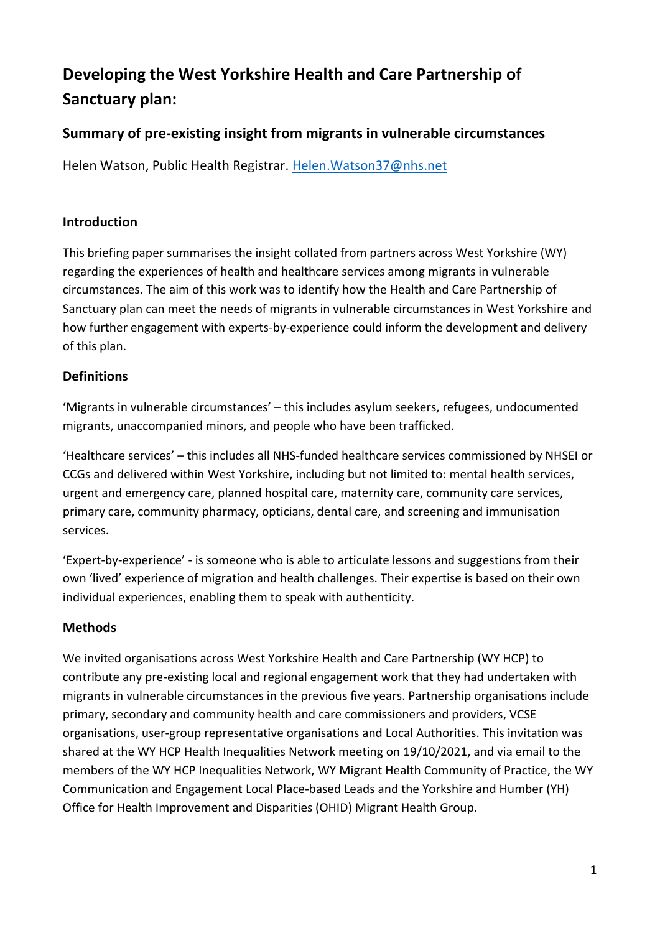# **Developing the West Yorkshire Health and Care Partnership of Sanctuary plan:**

# **Summary of pre-existing insight from migrants in vulnerable circumstances**

Helen Watson, Public Health Registrar. [Helen.Watson37@nhs.net](mailto:Helen.Watson37@nhs.net)

## **Introduction**

This briefing paper summarises the insight collated from partners across West Yorkshire (WY) regarding the experiences of health and healthcare services among migrants in vulnerable circumstances. The aim of this work was to identify how the Health and Care Partnership of Sanctuary plan can meet the needs of migrants in vulnerable circumstances in West Yorkshire and how further engagement with experts-by-experience could inform the development and delivery of this plan.

# **Definitions**

'Migrants in vulnerable circumstances' – this includes asylum seekers, refugees, undocumented migrants, unaccompanied minors, and people who have been trafficked.

'Healthcare services' – this includes all NHS-funded healthcare services commissioned by NHSEI or CCGs and delivered within West Yorkshire, including but not limited to: mental health services, urgent and emergency care, planned hospital care, maternity care, community care services, primary care, community pharmacy, opticians, dental care, and screening and immunisation services.

'Expert-by-experience' - is someone who is able to articulate lessons and suggestions from their own 'lived' experience of migration and health challenges. Their expertise is based on their own individual experiences, enabling them to speak with authenticity.

# **Methods**

We invited organisations across West Yorkshire Health and Care Partnership (WY HCP) to contribute any pre-existing local and regional engagement work that they had undertaken with migrants in vulnerable circumstances in the previous five years. Partnership organisations include primary, secondary and community health and care commissioners and providers, VCSE organisations, user-group representative organisations and Local Authorities. This invitation was shared at the WY HCP Health Inequalities Network meeting on 19/10/2021, and via email to the members of the WY HCP Inequalities Network, WY Migrant Health Community of Practice, the WY Communication and Engagement Local Place-based Leads and the Yorkshire and Humber (YH) Office for Health Improvement and Disparities (OHID) Migrant Health Group.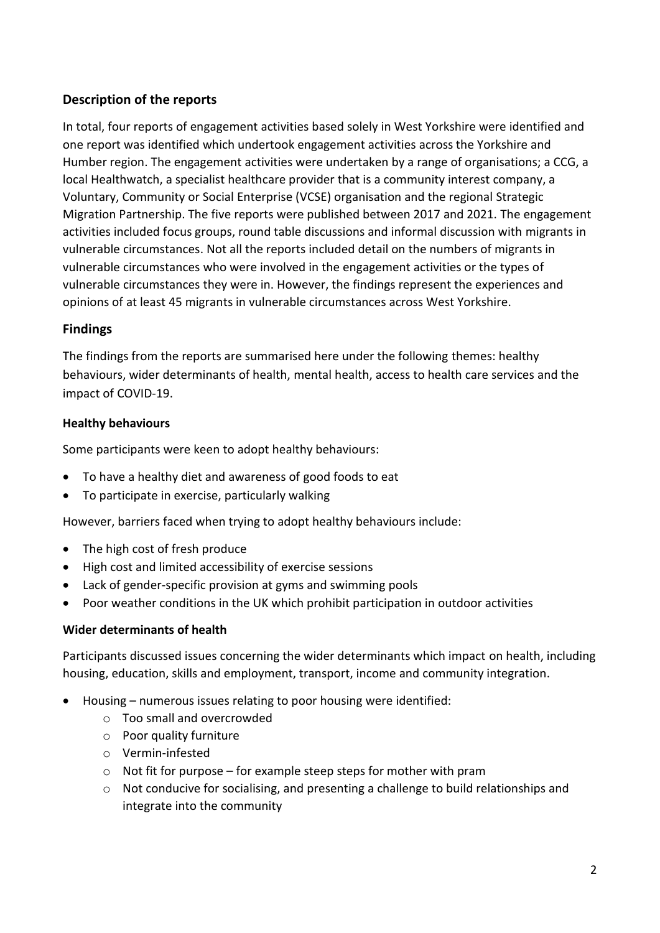## **Description of the reports**

In total, four reports of engagement activities based solely in West Yorkshire were identified and one report was identified which undertook engagement activities across the Yorkshire and Humber region. The engagement activities were undertaken by a range of organisations; a CCG, a local Healthwatch, a specialist healthcare provider that is a community interest company, a Voluntary, Community or Social Enterprise (VCSE) organisation and the regional Strategic Migration Partnership. The five reports were published between 2017 and 2021. The engagement activities included focus groups, round table discussions and informal discussion with migrants in vulnerable circumstances. Not all the reports included detail on the numbers of migrants in vulnerable circumstances who were involved in the engagement activities or the types of vulnerable circumstances they were in. However, the findings represent the experiences and opinions of at least 45 migrants in vulnerable circumstances across West Yorkshire.

## **Findings**

The findings from the reports are summarised here under the following themes: healthy behaviours, wider determinants of health, mental health, access to health care services and the impact of COVID-19.

## **Healthy behaviours**

Some participants were keen to adopt healthy behaviours:

- To have a healthy diet and awareness of good foods to eat
- To participate in exercise, particularly walking

However, barriers faced when trying to adopt healthy behaviours include:

- The high cost of fresh produce
- High cost and limited accessibility of exercise sessions
- Lack of gender-specific provision at gyms and swimming pools
- Poor weather conditions in the UK which prohibit participation in outdoor activities

#### **Wider determinants of health**

Participants discussed issues concerning the wider determinants which impact on health, including housing, education, skills and employment, transport, income and community integration.

- Housing numerous issues relating to poor housing were identified:
	- o Too small and overcrowded
	- o Poor quality furniture
	- o Vermin-infested
	- $\circ$  Not fit for purpose for example steep steps for mother with pram
	- o Not conducive for socialising, and presenting a challenge to build relationships and integrate into the community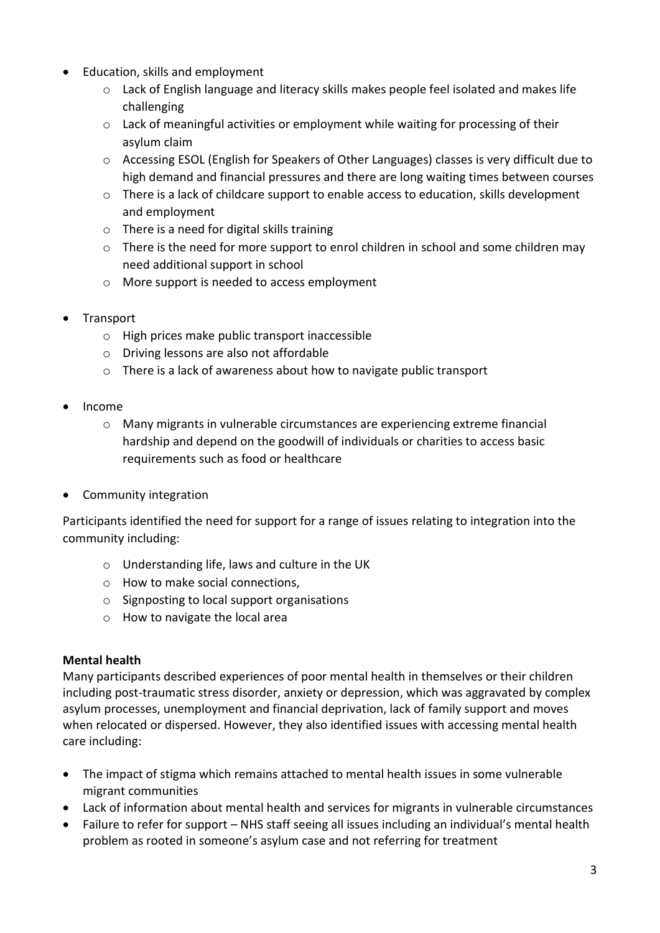- Education, skills and employment
	- $\circ$  Lack of English language and literacy skills makes people feel isolated and makes life challenging
	- $\circ$  Lack of meaningful activities or employment while waiting for processing of their asylum claim
	- o Accessing ESOL (English for Speakers of Other Languages) classes is very difficult due to high demand and financial pressures and there are long waiting times between courses
	- o There is a lack of childcare support to enable access to education, skills development and employment
	- $\circ$  There is a need for digital skills training
	- o There is the need for more support to enrol children in school and some children may need additional support in school
	- o More support is needed to access employment
- Transport
	- o High prices make public transport inaccessible
	- o Driving lessons are also not affordable
	- o There is a lack of awareness about how to navigate public transport
- Income
	- o Many migrants in vulnerable circumstances are experiencing extreme financial hardship and depend on the goodwill of individuals or charities to access basic requirements such as food or healthcare
- Community integration

Participants identified the need for support for a range of issues relating to integration into the community including:

- o Understanding life, laws and culture in the UK
- o How to make social connections,
- o Signposting to local support organisations
- o How to navigate the local area

# **Mental health**

Many participants described experiences of poor mental health in themselves or their children including post-traumatic stress disorder, anxiety or depression, which was aggravated by complex asylum processes, unemployment and financial deprivation, lack of family support and moves when relocated or dispersed. However, they also identified issues with accessing mental health care including:

- The impact of stigma which remains attached to mental health issues in some vulnerable migrant communities
- Lack of information about mental health and services for migrants in vulnerable circumstances
- Failure to refer for support NHS staff seeing all issues including an individual's mental health problem as rooted in someone's asylum case and not referring for treatment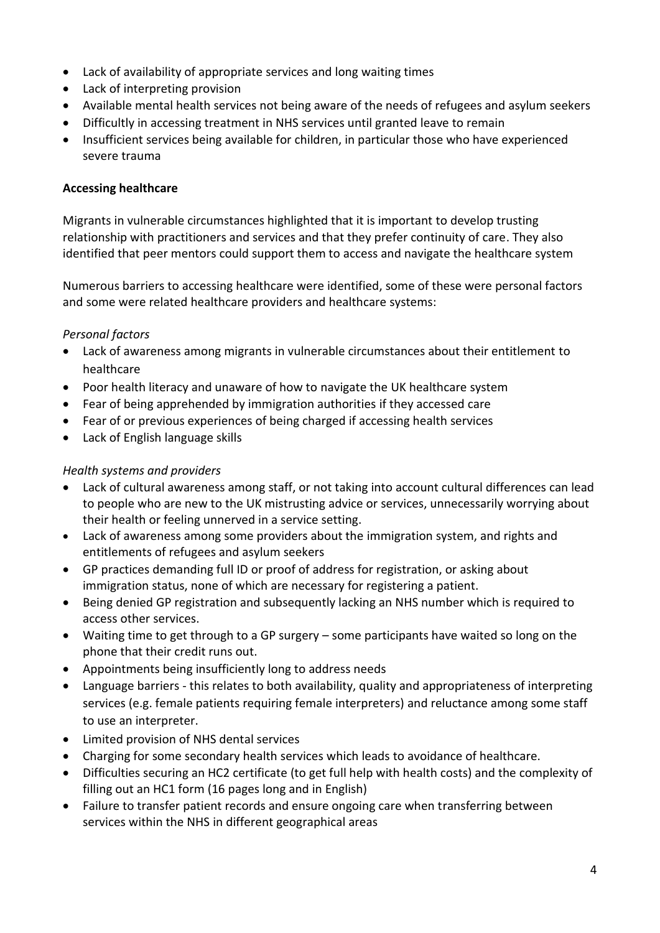- Lack of availability of appropriate services and long waiting times
- Lack of interpreting provision
- Available mental health services not being aware of the needs of refugees and asylum seekers
- Difficultly in accessing treatment in NHS services until granted leave to remain
- Insufficient services being available for children, in particular those who have experienced severe trauma

#### **Accessing healthcare**

Migrants in vulnerable circumstances highlighted that it is important to develop trusting relationship with practitioners and services and that they prefer continuity of care. They also identified that peer mentors could support them to access and navigate the healthcare system

Numerous barriers to accessing healthcare were identified, some of these were personal factors and some were related healthcare providers and healthcare systems:

#### *Personal factors*

- Lack of awareness among migrants in vulnerable circumstances about their entitlement to healthcare
- Poor health literacy and unaware of how to navigate the UK healthcare system
- Fear of being apprehended by immigration authorities if they accessed care
- Fear of or previous experiences of being charged if accessing health services
- Lack of English language skills

#### *Health systems and providers*

- Lack of cultural awareness among staff, or not taking into account cultural differences can lead to people who are new to the UK mistrusting advice or services, unnecessarily worrying about their health or feeling unnerved in a service setting.
- Lack of awareness among some providers about the immigration system, and rights and entitlements of refugees and asylum seekers
- GP practices demanding full ID or proof of address for registration, or asking about immigration status, none of which are necessary for registering a patient.
- Being denied GP registration and subsequently lacking an NHS number which is required to access other services.
- Waiting time to get through to a GP surgery some participants have waited so long on the phone that their credit runs out.
- Appointments being insufficiently long to address needs
- Language barriers this relates to both availability, quality and appropriateness of interpreting services (e.g. female patients requiring female interpreters) and reluctance among some staff to use an interpreter.
- Limited provision of NHS dental services
- Charging for some secondary health services which leads to avoidance of healthcare.
- Difficulties securing an HC2 certificate (to get full help with health costs) and the complexity of filling out an HC1 form (16 pages long and in English)
- Failure to transfer patient records and ensure ongoing care when transferring between services within the NHS in different geographical areas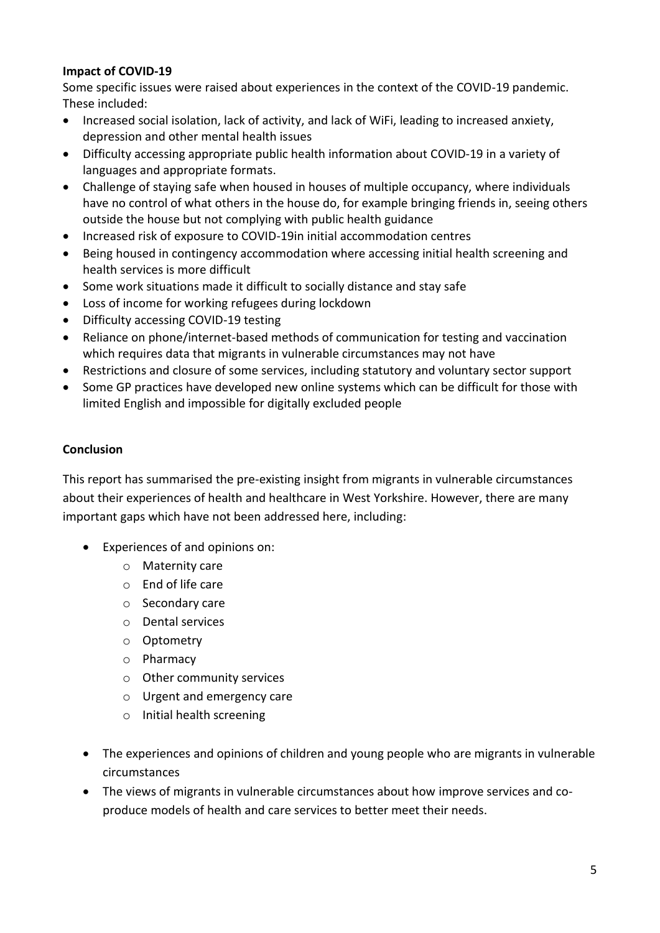#### **Impact of COVID-19**

Some specific issues were raised about experiences in the context of the COVID-19 pandemic. These included:

- Increased social isolation, lack of activity, and lack of WiFi, leading to increased anxiety, depression and other mental health issues
- Difficulty accessing appropriate public health information about COVID-19 in a variety of languages and appropriate formats.
- Challenge of staying safe when housed in houses of multiple occupancy, where individuals have no control of what others in the house do, for example bringing friends in, seeing others outside the house but not complying with public health guidance
- Increased risk of exposure to COVID-19in initial accommodation centres
- Being housed in contingency accommodation where accessing initial health screening and health services is more difficult
- Some work situations made it difficult to socially distance and stay safe
- Loss of income for working refugees during lockdown
- Difficulty accessing COVID-19 testing
- Reliance on phone/internet-based methods of communication for testing and vaccination which requires data that migrants in vulnerable circumstances may not have
- Restrictions and closure of some services, including statutory and voluntary sector support
- Some GP practices have developed new online systems which can be difficult for those with limited English and impossible for digitally excluded people

## **Conclusion**

This report has summarised the pre-existing insight from migrants in vulnerable circumstances about their experiences of health and healthcare in West Yorkshire. However, there are many important gaps which have not been addressed here, including:

- Experiences of and opinions on:
	- o Maternity care
	- o End of life care
	- o Secondary care
	- o Dental services
	- o Optometry
	- o Pharmacy
	- o Other community services
	- o Urgent and emergency care
	- o Initial health screening
- The experiences and opinions of children and young people who are migrants in vulnerable circumstances
- The views of migrants in vulnerable circumstances about how improve services and coproduce models of health and care services to better meet their needs.